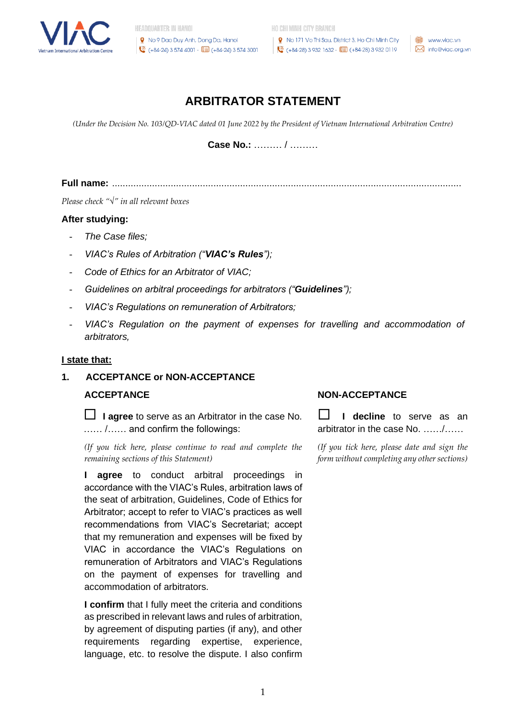

HO CHI MINH CITY BRANCH

R No 171 Vo Thi Sau, District 3, Ho Chi Minh City  $\bullet$  (+84-28) 3 932 1632 -  $\overline{0}$  (+84-28) 3 932 0119

www.viac.vn M info@viac.org.vn

# **ARBITRATOR STATEMENT**

*(Under the Decision No. 103/QD-VIAC dated 01 June 2022 by the President of Vietnam International Arbitration Centre)*

**Case No.:** ……… / ………

**Full name:** ...................................................................................................................................

*Please check "*√*" in all relevant boxes*

#### **After studying:**

- *- The Case files;*
- *- VIAC's Rules of Arbitration ("VIAC's Rules");*
- *- Code of Ethics for an Arbitrator of VIAC;*
- *- Guidelines on arbitral proceedings for arbitrators ("Guidelines");*
- *- VIAC's Regulations on remuneration of Arbitrators;*
- *- VIAC's Regulation on the payment of expenses for travelling and accommodation of arbitrators,*

#### **I state that:**

# **1. ACCEPTANCE or NON-ACCEPTANCE**

 **I agree** to serve as an Arbitrator in the case No. …… /…… and confirm the followings:

*(If you tick here, please continue to read and complete the remaining sections of this Statement)*

**I agree** to conduct arbitral proceedings in accordance with the VIAC's Rules, arbitration laws of the seat of arbitration, Guidelines, Code of Ethics for Arbitrator; accept to refer to VIAC's practices as well recommendations from VIAC's Secretariat; accept that my remuneration and expenses will be fixed by VIAC in accordance the VIAC's Regulations on remuneration of Arbitrators and VIAC's Regulations on the payment of expenses for travelling and accommodation of arbitrators.

**I confirm** that I fully meet the criteria and conditions as prescribed in relevant laws and rules of arbitration, by agreement of disputing parties (if any), and other requirements regarding expertise, experience, language, etc. to resolve the dispute. I also confirm

#### **ACCEPTANCE NON-ACCEPTANCE**

**I I** decline to serve as an arbitrator in the case No. ……/……

*(If you tick here, please date and sign the form without completing any other sections)*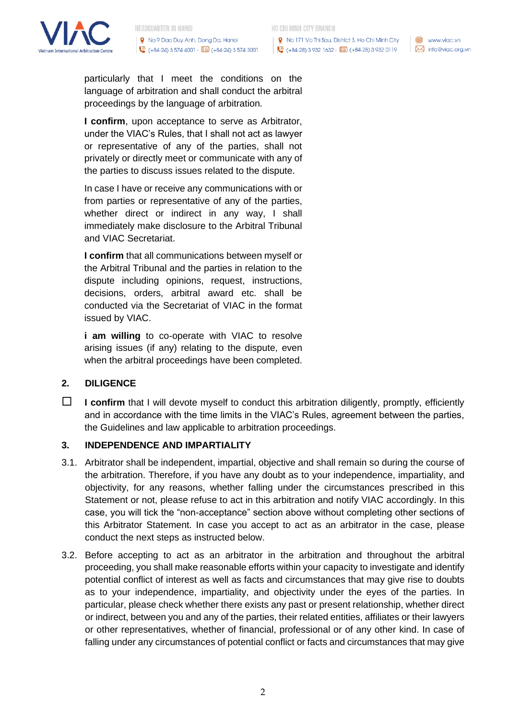

R No 171 Vo Thi Sau, District 3, Ho Chi Minh City  $\bullet$  (+84-28) 3 932 1632 -  $\overline{0}$  (+84-28) 3 932 0119

www.viac.vn  $\bowtie$  info@viac.org.vn

particularly that I meet the conditions on the language of arbitration and shall conduct the arbitral proceedings by the language of arbitration.

**I confirm**, upon acceptance to serve as Arbitrator, under the VIAC's Rules, that I shall not act as lawyer or representative of any of the parties, shall not privately or directly meet or communicate with any of the parties to discuss issues related to the dispute.

In case I have or receive any communications with or from parties or representative of any of the parties, whether direct or indirect in any way, I shall immediately make disclosure to the Arbitral Tribunal and VIAC Secretariat.

**I confirm** that all communications between myself or the Arbitral Tribunal and the parties in relation to the dispute including opinions, request, instructions, decisions, orders, arbitral award etc. shall be conducted via the Secretariat of VIAC in the format issued by VIAC.

**i am willing** to co-operate with VIAC to resolve arising issues (if any) relating to the dispute, even when the arbitral proceedings have been completed.

# **2. DILIGENCE**

**I confirm** that I will devote myself to conduct this arbitration diligently, promptly, efficiently and in accordance with the time limits in the VIAC's Rules, agreement between the parties, the Guidelines and law applicable to arbitration proceedings.

#### **3. INDEPENDENCE AND IMPARTIALITY**

- 3.1. Arbitrator shall be independent, impartial, objective and shall remain so during the course of the arbitration. Therefore, if you have any doubt as to your independence, impartiality, and objectivity, for any reasons, whether falling under the circumstances prescribed in this Statement or not, please refuse to act in this arbitration and notify VIAC accordingly. In this case, you will tick the "non-acceptance" section above without completing other sections of this Arbitrator Statement. In case you accept to act as an arbitrator in the case, please conduct the next steps as instructed below.
- 3.2. Before accepting to act as an arbitrator in the arbitration and throughout the arbitral proceeding, you shall make reasonable efforts within your capacity to investigate and identify potential conflict of interest as well as facts and circumstances that may give rise to doubts as to your independence, impartiality, and objectivity under the eyes of the parties. In particular, please check whether there exists any past or present relationship, whether direct or indirect, between you and any of the parties, their related entities, affiliates or their lawyers or other representatives, whether of financial, professional or of any other kind. In case of falling under any circumstances of potential conflict or facts and circumstances that may give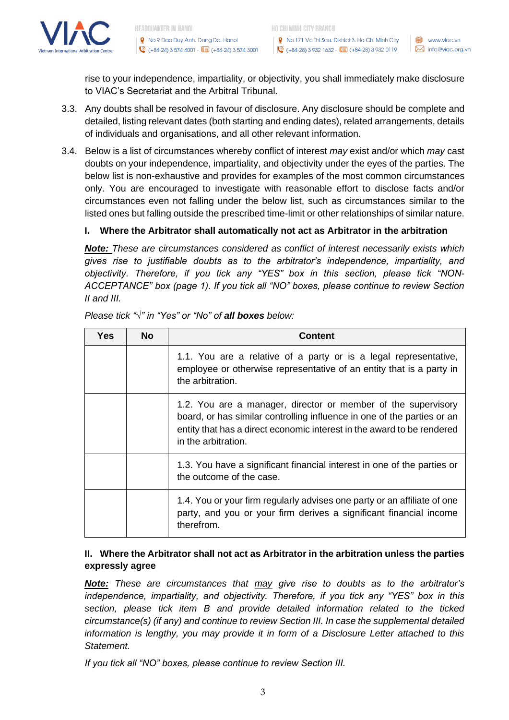

**9** No 171 Vo Thi Sau, District 3, Ho Chi Minh City Wavewww.viac.vn  $\bullet$  (+84-28) 3 932 1632 -  $\overline{0}$  (+84-28) 3 932 0119

rise to your independence, impartiality, or objectivity, you shall immediately make disclosure to VIAC's Secretariat and the Arbitral Tribunal.

- 3.3. Any doubts shall be resolved in favour of disclosure. Any disclosure should be complete and detailed, listing relevant dates (both starting and ending dates), related arrangements, details of individuals and organisations, and all other relevant information.
- 3.4. Below is a list of circumstances whereby conflict of interest *may* exist and/or which *may* cast doubts on your independence, impartiality, and objectivity under the eyes of the parties. The below list is non-exhaustive and provides for examples of the most common circumstances only. You are encouraged to investigate with reasonable effort to disclose facts and/or circumstances even not falling under the below list, such as circumstances similar to the listed ones but falling outside the prescribed time-limit or other relationships of similar nature.

# **I. Where the Arbitrator shall automatically not act as Arbitrator in the arbitration**

*Note: These are circumstances considered as conflict of interest necessarily exists which gives rise to justifiable doubts as to the arbitrator's independence, impartiality, and objectivity. Therefore, if you tick any "YES" box in this section, please tick "NON-ACCEPTANCE" box (page 1). If you tick all "NO" boxes, please continue to review Section II and III.*

| Yes | <b>No</b> | Content                                                                                                                                                                                                                                   |
|-----|-----------|-------------------------------------------------------------------------------------------------------------------------------------------------------------------------------------------------------------------------------------------|
|     |           | 1.1. You are a relative of a party or is a legal representative,<br>employee or otherwise representative of an entity that is a party in<br>the arbitration.                                                                              |
|     |           | 1.2. You are a manager, director or member of the supervisory<br>board, or has similar controlling influence in one of the parties or an<br>entity that has a direct economic interest in the award to be rendered<br>in the arbitration. |
|     |           | 1.3. You have a significant financial interest in one of the parties or<br>the outcome of the case.                                                                                                                                       |
|     |           | 1.4. You or your firm regularly advises one party or an affiliate of one<br>party, and you or your firm derives a significant financial income<br>therefrom.                                                                              |

*Please tick "√" in "Yes" or "No" of all boxes below:*

# **II. Where the Arbitrator shall not act as Arbitrator in the arbitration unless the parties expressly agree**

*Note: These are circumstances that may give rise to doubts as to the arbitrator's independence, impartiality, and objectivity. Therefore, if you tick any "YES" box in this section, please tick item B and provide detailed information related to the ticked circumstance(s) (if any) and continue to review Section III. In case the supplemental detailed information is lengthy, you may provide it in form of a Disclosure Letter attached to this Statement.*

*If you tick all "NO" boxes, please continue to review Section III.*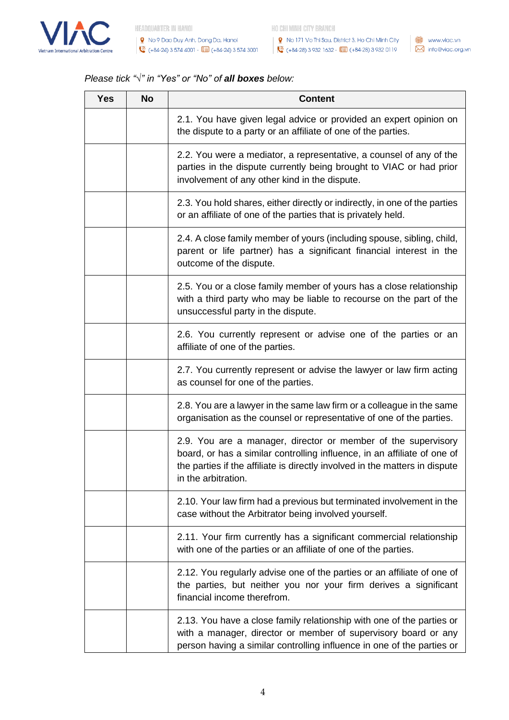

● No 171 Vo Thi Sau, District 3, Ho Chi Minh City │ ● www.viac.vn (+84-28) 3 932 1632 - **0m** (+84-28) 3 932 0119 M info@viac.org.vn

# *Please tick "√" in "Yes" or "No" of all boxes below:*

| <b>Yes</b> | <b>No</b> | <b>Content</b>                                                                                                                                                                                                                                  |
|------------|-----------|-------------------------------------------------------------------------------------------------------------------------------------------------------------------------------------------------------------------------------------------------|
|            |           | 2.1. You have given legal advice or provided an expert opinion on<br>the dispute to a party or an affiliate of one of the parties.                                                                                                              |
|            |           | 2.2. You were a mediator, a representative, a counsel of any of the<br>parties in the dispute currently being brought to VIAC or had prior<br>involvement of any other kind in the dispute.                                                     |
|            |           | 2.3. You hold shares, either directly or indirectly, in one of the parties<br>or an affiliate of one of the parties that is privately held.                                                                                                     |
|            |           | 2.4. A close family member of yours (including spouse, sibling, child,<br>parent or life partner) has a significant financial interest in the<br>outcome of the dispute.                                                                        |
|            |           | 2.5. You or a close family member of yours has a close relationship<br>with a third party who may be liable to recourse on the part of the<br>unsuccessful party in the dispute.                                                                |
|            |           | 2.6. You currently represent or advise one of the parties or an<br>affiliate of one of the parties.                                                                                                                                             |
|            |           | 2.7. You currently represent or advise the lawyer or law firm acting<br>as counsel for one of the parties.                                                                                                                                      |
|            |           | 2.8. You are a lawyer in the same law firm or a colleague in the same<br>organisation as the counsel or representative of one of the parties.                                                                                                   |
|            |           | 2.9. You are a manager, director or member of the supervisory<br>board, or has a similar controlling influence, in an affiliate of one of<br>the parties if the affiliate is directly involved in the matters in dispute<br>in the arbitration. |
|            |           | 2.10. Your law firm had a previous but terminated involvement in the<br>case without the Arbitrator being involved yourself.                                                                                                                    |
|            |           | 2.11. Your firm currently has a significant commercial relationship<br>with one of the parties or an affiliate of one of the parties.                                                                                                           |
|            |           | 2.12. You regularly advise one of the parties or an affiliate of one of<br>the parties, but neither you nor your firm derives a significant<br>financial income therefrom.                                                                      |
|            |           | 2.13. You have a close family relationship with one of the parties or<br>with a manager, director or member of supervisory board or any<br>person having a similar controlling influence in one of the parties or                               |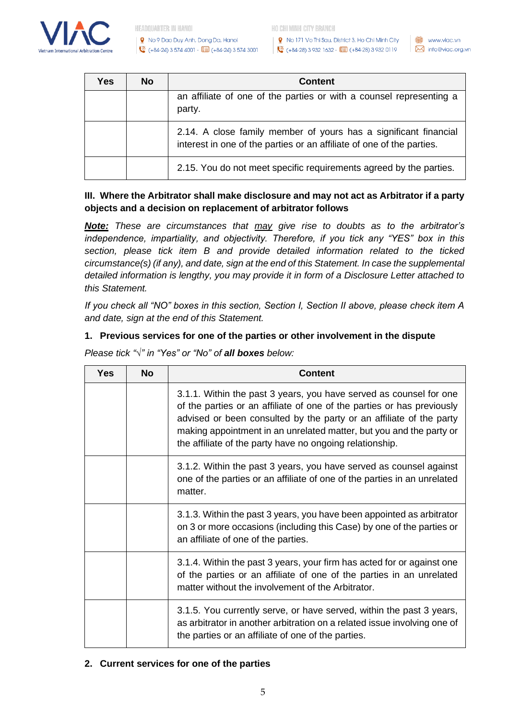

**9** No 171 Vo Thi Sau, District 3, Ho Chi Minh City  $\sqrt{2}$  (+84-28) 3 932 1632 -  $\sqrt{1}$  (+84-28) 3 932 0119

www.viac.vn M info@viac.org.vn

| Yes | <b>No</b> | <b>Content</b>                                                                                                                            |
|-----|-----------|-------------------------------------------------------------------------------------------------------------------------------------------|
|     |           | an affiliate of one of the parties or with a counsel representing a<br>party.                                                             |
|     |           | 2.14. A close family member of yours has a significant financial<br>interest in one of the parties or an affiliate of one of the parties. |
|     |           | 2.15. You do not meet specific requirements agreed by the parties.                                                                        |

# **III. Where the Arbitrator shall make disclosure and may not act as Arbitrator if a party objects and a decision on replacement of arbitrator follows**

*Note: These are circumstances that may give rise to doubts as to the arbitrator's independence, impartiality, and objectivity. Therefore, if you tick any "YES" box in this section, please tick item B and provide detailed information related to the ticked circumstance(s) (if any), and date, sign at the end of this Statement. In case the supplemental detailed information is lengthy, you may provide it in form of a Disclosure Letter attached to this Statement.*

*If you check all "NO" boxes in this section, Section I, Section II above, please check item A and date, sign at the end of this Statement.*

# **1. Previous services for one of the parties or other involvement in the dispute**

| Yes | No | Content                                                                                                                                                                                                                                                                                                                                                |
|-----|----|--------------------------------------------------------------------------------------------------------------------------------------------------------------------------------------------------------------------------------------------------------------------------------------------------------------------------------------------------------|
|     |    | 3.1.1. Within the past 3 years, you have served as counsel for one<br>of the parties or an affiliate of one of the parties or has previously<br>advised or been consulted by the party or an affiliate of the party<br>making appointment in an unrelated matter, but you and the party or<br>the affiliate of the party have no ongoing relationship. |
|     |    | 3.1.2. Within the past 3 years, you have served as counsel against<br>one of the parties or an affiliate of one of the parties in an unrelated<br>matter.                                                                                                                                                                                              |
|     |    | 3.1.3. Within the past 3 years, you have been appointed as arbitrator<br>on 3 or more occasions (including this Case) by one of the parties or<br>an affiliate of one of the parties.                                                                                                                                                                  |
|     |    | 3.1.4. Within the past 3 years, your firm has acted for or against one<br>of the parties or an affiliate of one of the parties in an unrelated<br>matter without the involvement of the Arbitrator.                                                                                                                                                    |
|     |    | 3.1.5. You currently serve, or have served, within the past 3 years,<br>as arbitrator in another arbitration on a related issue involving one of<br>the parties or an affiliate of one of the parties.                                                                                                                                                 |

*Please tick "√" in "Yes" or "No" of all boxes below:*

# **2. Current services for one of the parties**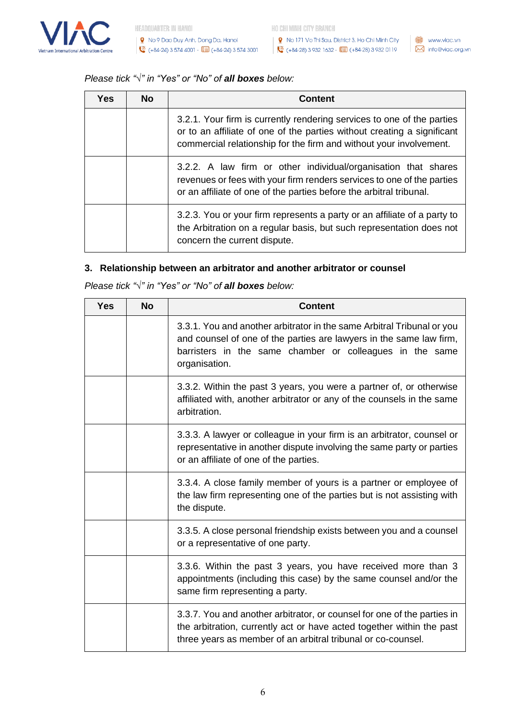

图 No 171 Vo Thi Sau, District 3, Ho Chi Minh City ( ) www.viac.vn  $\binom{3}{1}$  (+84-28) 3 932 1632 -  $\boxed{0}$  (+84-28) 3 932 0119

### *Please tick "√" in "Yes" or "No" of all boxes below:*

| Yes | <b>No</b> | Content                                                                                                                                                                                                                 |
|-----|-----------|-------------------------------------------------------------------------------------------------------------------------------------------------------------------------------------------------------------------------|
|     |           | 3.2.1. Your firm is currently rendering services to one of the parties<br>or to an affiliate of one of the parties without creating a significant<br>commercial relationship for the firm and without your involvement. |
|     |           | 3.2.2. A law firm or other individual/organisation that shares<br>revenues or fees with your firm renders services to one of the parties<br>or an affiliate of one of the parties before the arbitral tribunal.         |
|     |           | 3.2.3. You or your firm represents a party or an affiliate of a party to<br>the Arbitration on a regular basis, but such representation does not<br>concern the current dispute.                                        |

# **3. Relationship between an arbitrator and another arbitrator or counsel**

*Please tick "√" in "Yes" or "No" of all boxes below:*

| <b>Yes</b> | <b>No</b> | <b>Content</b>                                                                                                                                                                                                             |
|------------|-----------|----------------------------------------------------------------------------------------------------------------------------------------------------------------------------------------------------------------------------|
|            |           | 3.3.1. You and another arbitrator in the same Arbitral Tribunal or you<br>and counsel of one of the parties are lawyers in the same law firm,<br>barristers in the same chamber or colleagues in the same<br>organisation. |
|            |           | 3.3.2. Within the past 3 years, you were a partner of, or otherwise<br>affiliated with, another arbitrator or any of the counsels in the same<br>arbitration.                                                              |
|            |           | 3.3.3. A lawyer or colleague in your firm is an arbitrator, counsel or<br>representative in another dispute involving the same party or parties<br>or an affiliate of one of the parties.                                  |
|            |           | 3.3.4. A close family member of yours is a partner or employee of<br>the law firm representing one of the parties but is not assisting with<br>the dispute.                                                                |
|            |           | 3.3.5. A close personal friendship exists between you and a counsel<br>or a representative of one party.                                                                                                                   |
|            |           | 3.3.6. Within the past 3 years, you have received more than 3<br>appointments (including this case) by the same counsel and/or the<br>same firm representing a party.                                                      |
|            |           | 3.3.7. You and another arbitrator, or counsel for one of the parties in<br>the arbitration, currently act or have acted together within the past<br>three years as member of an arbitral tribunal or co-counsel.           |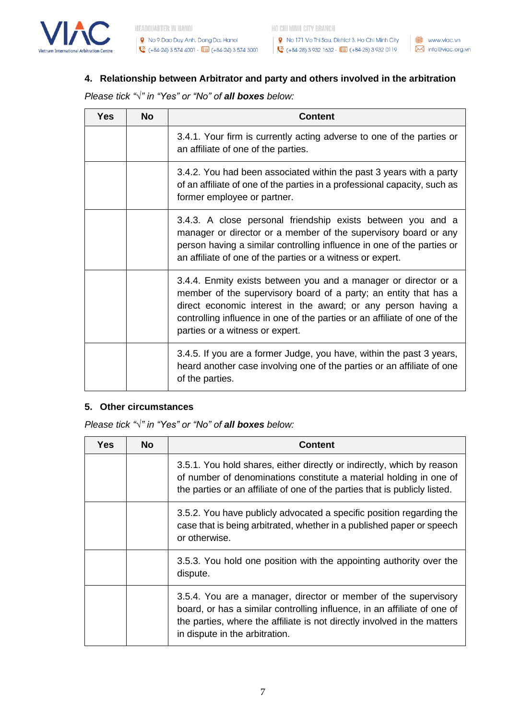

● No 171 Vo Thi Sau, District 3, Ho Chi Minh City ● ● www.viac.vn (+84-28) 3 932 1632 -  $\boxed{0}$  (+84-28) 3 932 0119  $\blacksquare$  info@viac.org.vn

# **4. Relationship between Arbitrator and party and others involved in the arbitration**

*Please tick "√" in "Yes" or "No" of all boxes below:*

| Yes | <b>No</b> | Content                                                                                                                                                                                                                                                                                                              |
|-----|-----------|----------------------------------------------------------------------------------------------------------------------------------------------------------------------------------------------------------------------------------------------------------------------------------------------------------------------|
|     |           | 3.4.1. Your firm is currently acting adverse to one of the parties or<br>an affiliate of one of the parties.                                                                                                                                                                                                         |
|     |           | 3.4.2. You had been associated within the past 3 years with a party<br>of an affiliate of one of the parties in a professional capacity, such as<br>former employee or partner.                                                                                                                                      |
|     |           | 3.4.3. A close personal friendship exists between you and a<br>manager or director or a member of the supervisory board or any<br>person having a similar controlling influence in one of the parties or<br>an affiliate of one of the parties or a witness or expert.                                               |
|     |           | 3.4.4. Enmity exists between you and a manager or director or a<br>member of the supervisory board of a party; an entity that has a<br>direct economic interest in the award; or any person having a<br>controlling influence in one of the parties or an affiliate of one of the<br>parties or a witness or expert. |
|     |           | 3.4.5. If you are a former Judge, you have, within the past 3 years,<br>heard another case involving one of the parties or an affiliate of one<br>of the parties.                                                                                                                                                    |

#### **5. Other circumstances**

*Please tick "√" in "Yes" or "No" of all boxes below:*

| Yes | <b>No</b> | <b>Content</b>                                                                                                                                                                                                                                            |
|-----|-----------|-----------------------------------------------------------------------------------------------------------------------------------------------------------------------------------------------------------------------------------------------------------|
|     |           | 3.5.1. You hold shares, either directly or indirectly, which by reason<br>of number of denominations constitute a material holding in one of<br>the parties or an affiliate of one of the parties that is publicly listed.                                |
|     |           | 3.5.2. You have publicly advocated a specific position regarding the<br>case that is being arbitrated, whether in a published paper or speech<br>or otherwise.                                                                                            |
|     |           | 3.5.3. You hold one position with the appointing authority over the<br>dispute.                                                                                                                                                                           |
|     |           | 3.5.4. You are a manager, director or member of the supervisory<br>board, or has a similar controlling influence, in an affiliate of one of<br>the parties, where the affiliate is not directly involved in the matters<br>in dispute in the arbitration. |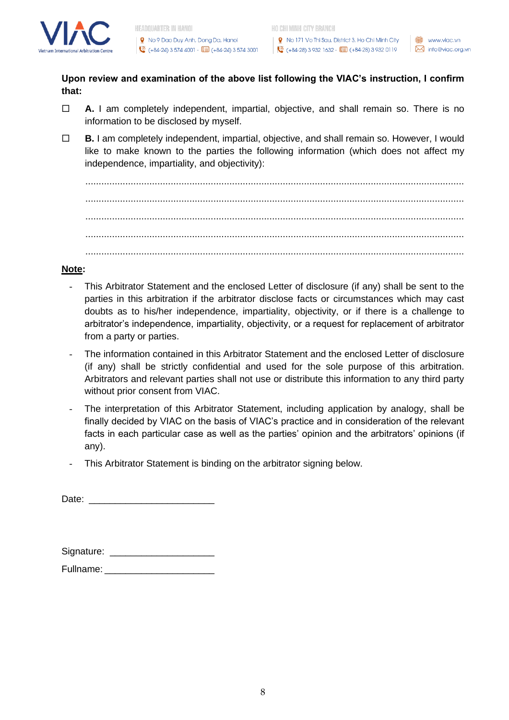

HO CHI MINH CITY BRANCH

R No 171 Vo Thi Sau, District 3, Ho Chi Minh City  $\bullet$  (+84-28) 3 932 1632 -  $\overline{0}$  (+84-28) 3 932 0119

**Upon review and examination of the above list following the VIAC's instruction, I confirm that:**

- **A.** I am completely independent, impartial, objective, and shall remain so. There is no information to be disclosed by myself.
- **B.** I am completely independent, impartial, objective, and shall remain so. However, I would like to make known to the parties the following information (which does not affect my independence, impartiality, and objectivity):

.............................................................................................................................................. .............................................................................................................................................. .............................................................................................................................................. .............................................................................................................................................. ..............................................................................................................................................

# **Note:**

- *-* This Arbitrator Statement and the enclosed Letter of disclosure (if any) shall be sent to the parties in this arbitration if the arbitrator disclose facts or circumstances which may cast doubts as to his/her independence, impartiality, objectivity, or if there is a challenge to arbitrator's independence, impartiality, objectivity, or a request for replacement of arbitrator from a party or parties.
- *-* The information contained in this Arbitrator Statement and the enclosed Letter of disclosure (if any) shall be strictly confidential and used for the sole purpose of this arbitration. Arbitrators and relevant parties shall not use or distribute this information to any third party without prior consent from VIAC.
- *-* The interpretation of this Arbitrator Statement, including application by analogy, shall be finally decided by VIAC on the basis of VIAC's practice and in consideration of the relevant facts in each particular case as well as the parties' opinion and the arbitrators' opinions (if any).
- *-* This Arbitrator Statement is binding on the arbitrator signing below.

Date:

| Signature: |  |
|------------|--|
|            |  |

Fullname: **Example 20**